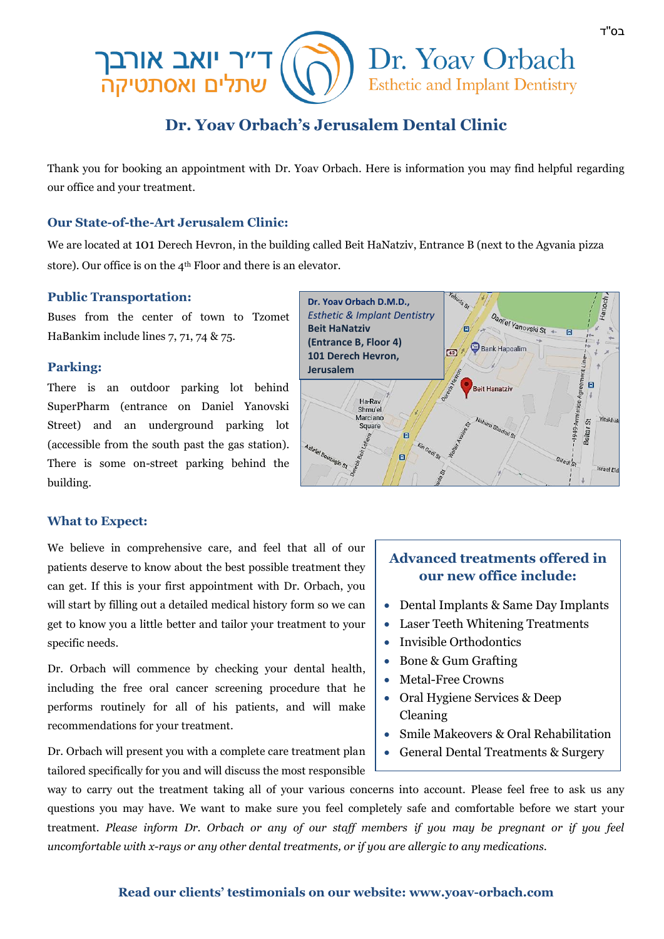

# **Dr. Yoav Orbach's Jerusalem Dental Clinic**

Thank you for booking an appointment with Dr. Yoav Orbach. Here is information you may find helpful regarding our office and your treatment.

#### **Our State-of-the-Art Jerusalem Clinic:**

We are located at 101 Derech Hevron, in the building called Beit HaNatziv, Entrance B (next to the Agvania pizza store). Our office is on the 4th Floor and there is an elevator.

#### **Public Transportation:**

Buses from the center of town to Tzomet HaBankim include lines 7, 71, 74 & 75.

#### **Parking:**

There is an outdoor parking lot behind SuperPharm (entrance on Daniel Yanovski Street) and an underground parking lot (accessible from the south past the gas station). There is some on-street parking behind the building.



#### **What to Expect:**

We believe in comprehensive care, and feel that all of our patients deserve to know about the best possible treatment they can get. If this is your first appointment with Dr. Orbach, you will start by filling out a detailed medical history form so we can get to know you a little better and tailor your treatment to your specific needs.

Dr. Orbach will commence by checking your dental health, including the free oral cancer screening procedure that he performs routinely for all of his patients, and will make recommendations for your treatment.

Dr. Orbach will present you with a complete care treatment plan tailored specifically for you and will discuss the most responsible

## **Advanced treatments offered in our new office include:**

- Dental Implants & Same Day Implants
- Laser Teeth Whitening Treatments
- Invisible Orthodontics
- Bone & Gum Grafting
- Metal-Free Crowns
- Oral Hygiene Services & Deep Cleaning
- Smile Makeovers & Oral Rehabilitation
- General Dental Treatments & Surgery

way to carry out the treatment taking all of your various concerns into account. Please feel free to ask us any questions you may have. We want to make sure you feel completely safe and comfortable before we start your treatment. *Please inform Dr. Orbach or any of our staff members if you may be pregnant or if you feel uncomfortable with x-rays or any other dental treatments, or if you are allergic to any medications.*

#### **Read our clients' testimonials on our website: www.yoav-orbach.com**